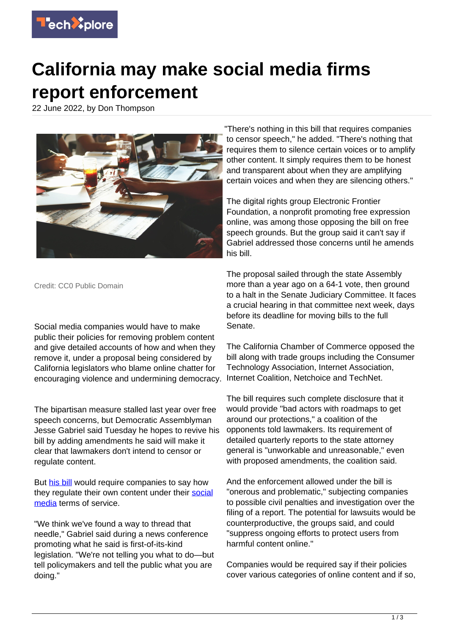

## **California may make social media firms report enforcement**

22 June 2022, by Don Thompson



"There's nothing in this bill that requires companies to censor speech," he added. "There's nothing that requires them to silence certain voices or to amplify other content. It simply requires them to be honest and transparent about when they are amplifying certain voices and when they are silencing others."

The digital rights group Electronic Frontier Foundation, a nonprofit promoting free expression online, was among those opposing the bill on free speech grounds. But the group said it can't say if Gabriel addressed those concerns until he amends his bill.

Credit: CC0 Public Domain

Social media companies would have to make public their policies for removing problem content and give detailed accounts of how and when they remove it, under a proposal being considered by California legislators who blame online chatter for encouraging violence and undermining democracy.

The bipartisan measure stalled last year over free speech concerns, but Democratic Assemblyman Jesse Gabriel said Tuesday he hopes to revive his bill by adding amendments he said will make it clear that lawmakers don't intend to censor or regulate content.

But [his bill](https://leginfo.legislature.ca.gov/faces/billTextClient.xhtml?bill_id=202120220AB587) would require companies to say how they regulate their own content under their [social](https://techxplore.com/tags/social+media/) [media](https://techxplore.com/tags/social+media/) terms of service.

"We think we've found a way to thread that needle," Gabriel said during a news conference promoting what he said is first-of-its-kind legislation. "We're not telling you what to do—but tell policymakers and tell the public what you are doing."

The proposal sailed through the state Assembly more than a year ago on a 64-1 vote, then ground to a halt in the Senate Judiciary Committee. It faces a crucial hearing in that committee next week, days before its deadline for moving bills to the full Senate.

The California Chamber of Commerce opposed the bill along with trade groups including the Consumer Technology Association, Internet Association, Internet Coalition, Netchoice and TechNet.

The bill requires such complete disclosure that it would provide "bad actors with roadmaps to get around our protections," a coalition of the opponents told lawmakers. Its requirement of detailed quarterly reports to the state attorney general is "unworkable and unreasonable," even with proposed amendments, the coalition said.

And the enforcement allowed under the bill is "onerous and problematic," subjecting companies to possible civil penalties and investigation over the filing of a report. The potential for lawsuits would be counterproductive, the groups said, and could "suppress ongoing efforts to protect users from harmful content online."

Companies would be required say if their policies cover various categories of online content and if so,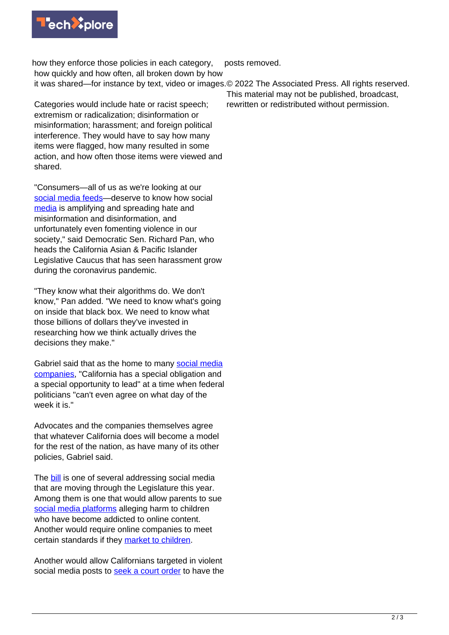

how they enforce those policies in each category, how quickly and how often, all broken down by how it was shared—for instance by text, video or images. © 2022 The Associated Press. All rights reserved. posts removed.

Categories would include hate or racist speech; extremism or radicalization; disinformation or misinformation; harassment; and foreign political interference. They would have to say how many items were flagged, how many resulted in some action, and how often those items were viewed and shared.

"Consumers—all of us as we're looking at our [social media feeds](https://techxplore.com/tags/social+media+feeds/)—deserve to know how social [media](https://techxplore.com/tags/media/) is amplifying and spreading hate and misinformation and disinformation, and unfortunately even fomenting violence in our society," said Democratic Sen. Richard Pan, who heads the California Asian & Pacific Islander Legislative Caucus that has seen harassment grow during the coronavirus pandemic.

"They know what their algorithms do. We don't know," Pan added. "We need to know what's going on inside that black box. We need to know what those billions of dollars they've invested in researching how we think actually drives the decisions they make."

Gabriel said that as the home to many [social media](https://techxplore.com/tags/social+media+companies/) [companies,](https://techxplore.com/tags/social+media+companies/) "California has a special obligation and a special opportunity to lead" at a time when federal politicians "can't even agree on what day of the week it is."

Advocates and the companies themselves agree that whatever California does will become a model for the rest of the nation, as have many of its other policies, Gabriel said.

The **bill** is one of several addressing social media that are moving through the Legislature this year. Among them is one that would allow parents to sue [social media platforms](https://techxplore.com/tags/social+media+platforms/) alleging harm to children who have become addicted to online content. Another would require online companies to meet certain standards if they [market to children.](https://leginfo.legislature.ca.gov/faces/billNavClient.xhtml?bill_id=202120220AB2273)

Another would allow Californians targeted in violent social media posts to [seek a court order](https://leginfo.legislature.ca.gov/faces/billNavClient.xhtml?bill_id=202120220SB1056) to have the

This material may not be published, broadcast, rewritten or redistributed without permission.